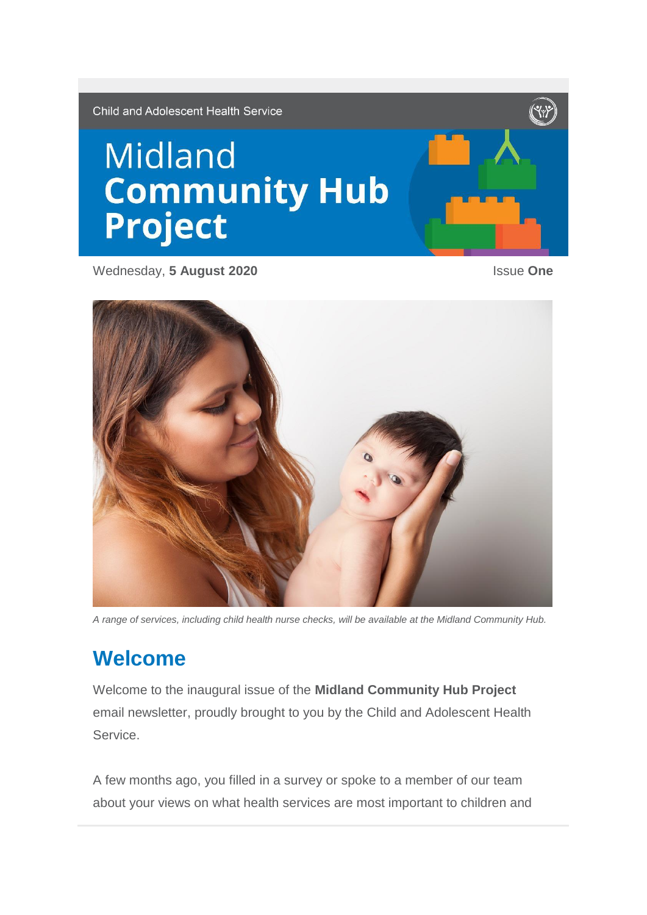

Wednesday, **5 August 2020** Issue **One**



*A range of services, including child health nurse checks, will be available at the Midland Community Hub.*

### **Welcome**

Welcome to the inaugural issue of the **Midland Community Hub Project**  email newsletter, proudly brought to you by the Child and Adolescent Health Service.

A few months ago, you filled in a survey or spoke to a member of our team about your views on what health services are most important to children and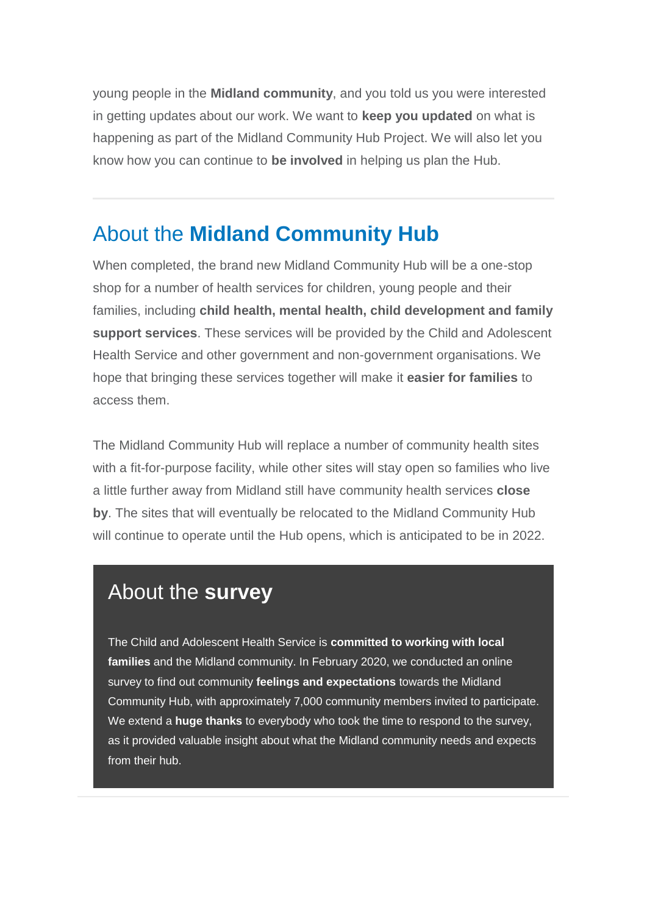young people in the **Midland community**, and you told us you were interested in getting updates about our work. We want to **keep you updated** on what is happening as part of the Midland Community Hub Project. We will also let you know how you can continue to **be involved** in helping us plan the Hub.

#### About the **Midland Community Hub**

When completed, the brand new Midland Community Hub will be a one-stop shop for a number of health services for children, young people and their families, including **child health, mental health, child development and family support services**. These services will be provided by the Child and Adolescent Health Service and other government and non-government organisations. We hope that bringing these services together will make it **easier for families** to access them.

The Midland Community Hub will replace a number of community health sites with a fit-for-purpose facility, while other sites will stay open so families who live a little further away from Midland still have community health services **close by**. The sites that will eventually be relocated to the Midland Community Hub will continue to operate until the Hub opens, which is anticipated to be in 2022.

#### About the **survey**

The Child and Adolescent Health Service is **committed to working with local families** and the Midland community. In February 2020, we conducted an online survey to find out community **feelings and expectations** towards the Midland Community Hub, with approximately 7,000 community members invited to participate. We extend a **huge thanks** to everybody who took the time to respond to the survey, as it provided valuable insight about what the Midland community needs and expects from their hub.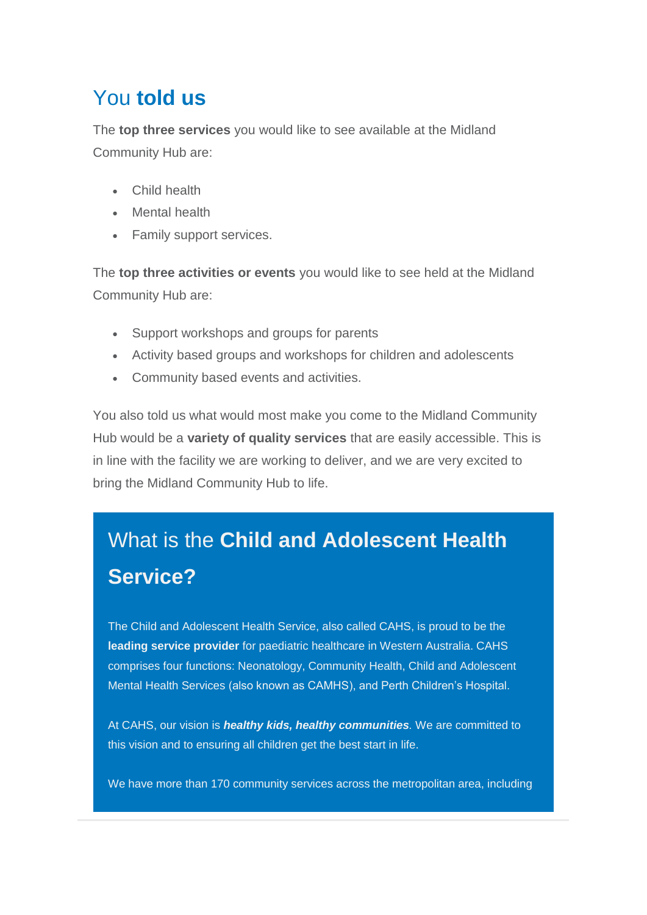## You **told us**

The **top three services** you would like to see available at the Midland Community Hub are:

- Child health
- Mental health
- Family support services.

The **top three activities or events** you would like to see held at the Midland Community Hub are:

- Support workshops and groups for parents
- Activity based groups and workshops for children and adolescents
- Community based events and activities.

You also told us what would most make you come to the Midland Community Hub would be a **variety of quality services** that are easily accessible. This is in line with the facility we are working to deliver, and we are very excited to bring the Midland Community Hub to life.

# What is the **Child and Adolescent Health Service?**

The Child and Adolescent Health Service, also called CAHS, is proud to be the **leading service provider** for paediatric healthcare in Western Australia. CAHS comprises four functions: Neonatology, Community Health, Child and Adolescent Mental Health Services (also known as CAMHS), and Perth Children's Hospital.

At CAHS, our vision is *healthy kids, healthy communities.* We are committed to this vision and to ensuring all children get the best start in life.

We have more than 170 community services across the metropolitan area, including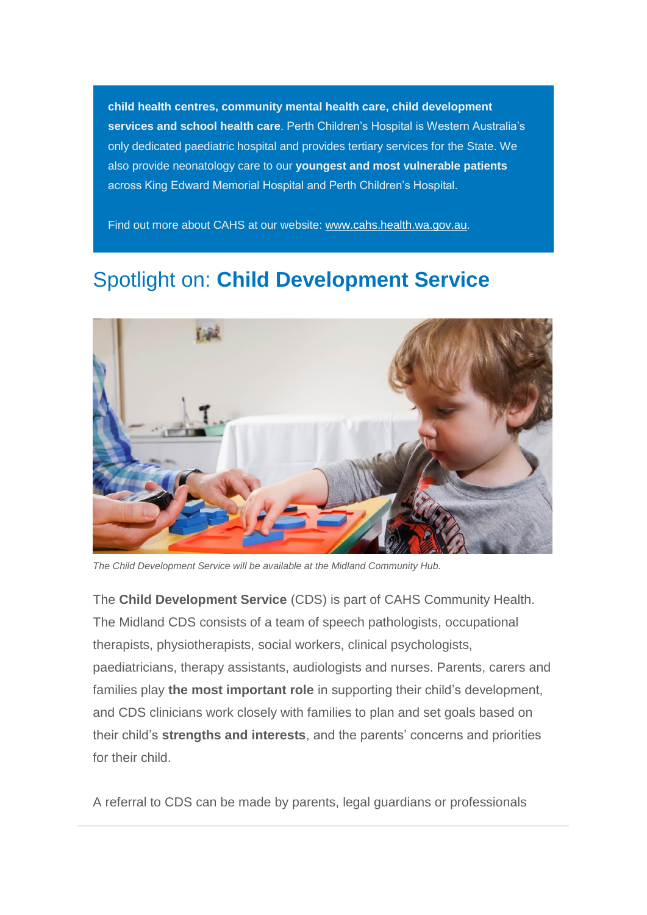**child health centres, community mental health care, child development services and school health care**. Perth Children's Hospital is Western Australia's only dedicated paediatric hospital and provides tertiary services for the State. We also provide neonatology care to our **youngest and most vulnerable patients**  across King Edward Memorial Hospital and Perth Children's Hospital.

Find out more about CAHS at our website: [www.cahs.health.wa.gov.au.](http://www.cahs.health.wa.gov.au/)

#### Spotlight on: **Child Development Service**



*The Child Development Service will be available at the Midland Community Hub.*

The **Child Development Service** (CDS) is part of CAHS Community Health. The Midland CDS consists of a team of speech pathologists, occupational therapists, physiotherapists, social workers, clinical psychologists, paediatricians, therapy assistants, audiologists and nurses. Parents, carers and families play **the most important role** in supporting their child's development, and CDS clinicians work closely with families to plan and set goals based on their child's **strengths and interests**, and the parents' concerns and priorities for their child.

A referral to CDS can be made by parents, legal guardians or professionals